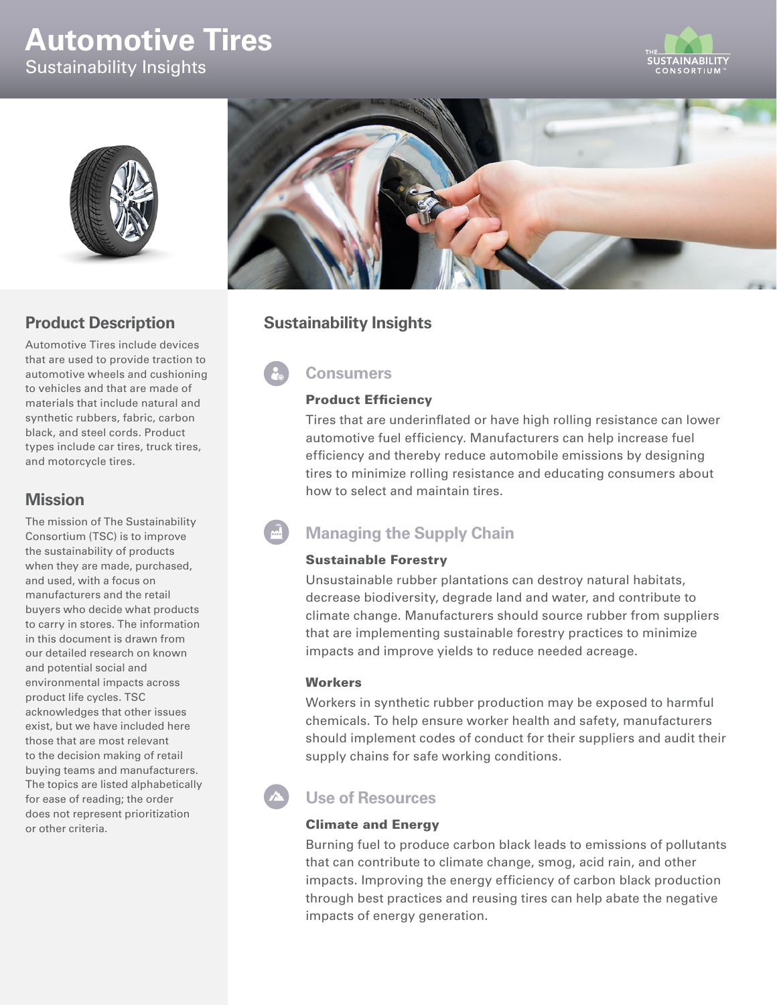# **Automotive Tires** Sustainability Insights





## **Product Description**

Automotive Tires include devices that are used to provide traction to automotive wheels and cushioning to vehicles and that are made of materials that include natural and synthetic rubbers, fabric, carbon black, and steel cords. Product types include car tires, truck tires, and motorcycle tires.

### **Mission**

The mission of The Sustainability Consortium (TSC) is to improve the sustainability of products when they are made, purchased, and used, with a focus on manufacturers and the retail buyers who decide what products to carry in stores. The information in this document is drawn from our detailed research on known and potential social and environmental impacts across product life cycles. TSC acknowledges that other issues exist, but we have included here those that are most relevant to the decision making of retail buying teams and manufacturers. The topics are listed alphabetically for ease of reading; the order does not represent prioritization or other criteria.



## **Sustainability Insights**

## **Consumers**

#### Product Efficiency

Tires that are underinflated or have high rolling resistance can lower automotive fuel efficiency. Manufacturers can help increase fuel efficiency and thereby reduce automobile emissions by designing tires to minimize rolling resistance and educating consumers about how to select and maintain tires.

## **Managing the Supply Chain**

#### Sustainable Forestry

Unsustainable rubber plantations can destroy natural habitats, decrease biodiversity, degrade land and water, and contribute to climate change. Manufacturers should source rubber from suppliers that are implementing sustainable forestry practices to minimize impacts and improve yields to reduce needed acreage.

#### **Workers**

Workers in synthetic rubber production may be exposed to harmful chemicals. To help ensure worker health and safety, manufacturers should implement codes of conduct for their suppliers and audit their supply chains for safe working conditions.

## **Use of Resources**

#### Climate and Energy

Burning fuel to produce carbon black leads to emissions of pollutants that can contribute to climate change, smog, acid rain, and other impacts. Improving the energy efficiency of carbon black production through best practices and reusing tires can help abate the negative impacts of energy generation.